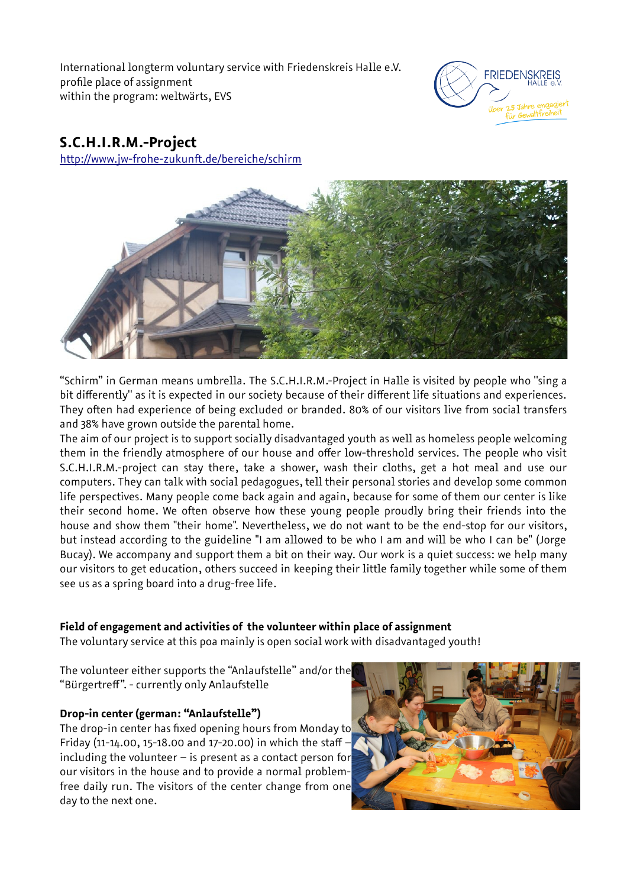International longterm voluntary service with Friedenskreis Halle e.V. profile place of assignment within the program: weltwärts, EVS



# **S.C.H.I.R.M.-Project**

<http://www.jw-frohe-zukunft.de/bereiche/schirm>



"Schirm" in German means umbrella. The S.C.H.I.R.M.-Project in Halle is visited by people who "sing a bit differently" as it is expected in our society because of their different life situations and experiences. They often had experience of being excluded or branded. 80% of our visitors live from social transfers and 38% have grown outside the parental home.

The aim of our project is to support socially disadvantaged youth as well as homeless people welcoming them in the friendly atmosphere of our house and offer low-threshold services. The people who visit S.C.H.I.R.M.-project can stay there, take a shower, wash their cloths, get a hot meal and use our computers. They can talk with social pedagogues, tell their personal stories and develop some common life perspectives. Many people come back again and again, because for some of them our center is like their second home. We often observe how these young people proudly bring their friends into the house and show them ''their home''. Nevertheless, we do not want to be the end-stop for our visitors, but instead according to the guideline ''I am allowed to be who I am and will be who I can be'' (Jorge Bucay). We accompany and support them a bit on their way. Our work is a quiet success: we help many our visitors to get education, others succeed in keeping their little family together while some of them see us as a spring board into a drug-free life.

# **Field of engagement and activities of the volunteer within place of assignment**

The voluntary service at this poa mainly is open social work with disadvantaged youth!

The volunteer either supports the "Anlaufstelle" and/or the "Bürgertreff". - currently only Anlaufstelle

# **Drop-in center (german: "Anlaufstelle")**

The drop-in center has fixed opening hours from Monday to Friday (11-14.00, 15-18.00 and 17-20.00) in which the staff including the volunteer – is present as a contact person for our visitors in the house and to provide a normal problemfree daily run. The visitors of the center change from one day to the next one.

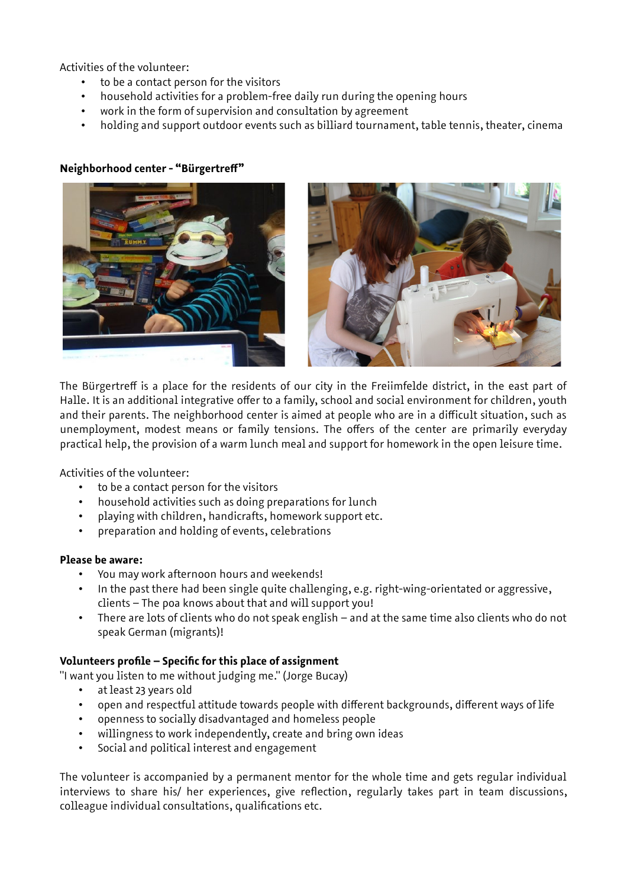Activities of the volunteer:

- to be a contact person for the visitors
- household activities for a problem-free daily run during the opening hours
- work in the form of supervision and consultation by agreement
- holding and support outdoor events such as billiard tournament, table tennis, theater, cinema

## **Neighborhood center - "Bürgertreff"**



The Bürgertreff is a place for the residents of our city in the Freiimfelde district, in the east part of Halle. It is an additional integrative offer to a family, school and social environment for children, youth and their parents. The neighborhood center is aimed at people who are in a difficult situation, such as unemployment, modest means or family tensions. The offers of the center are primarily everyday practical help, the provision of a warm lunch meal and support for homework in the open leisure time.

Activities of the volunteer:

- to be a contact person for the visitors
- household activities such as doing preparations for lunch
- playing with children, handicrafts, homework support etc.
- preparation and holding of events, celebrations

#### **Please be aware:**

- You may work afternoon hours and weekends!
- In the past there had been single quite challenging, e.g. right-wing-orientated or aggressive, clients – The poa knows about that and will support you!
- There are lots of clients who do not speak english and at the same time also clients who do not speak German (migrants)!

#### **Volunteers profile – Specific for this place of assignment**

"I want you listen to me without judging me." (Jorge Bucay)

- at least 23 years old
- open and respectful attitude towards people with different backgrounds, different ways of life
- openness to socially disadvantaged and homeless people
- willingness to work independently, create and bring own ideas
- Social and political interest and engagement

The volunteer is accompanied by a permanent mentor for the whole time and gets regular individual interviews to share his/ her experiences, give reflection, regularly takes part in team discussions, colleague individual consultations, qualifications etc.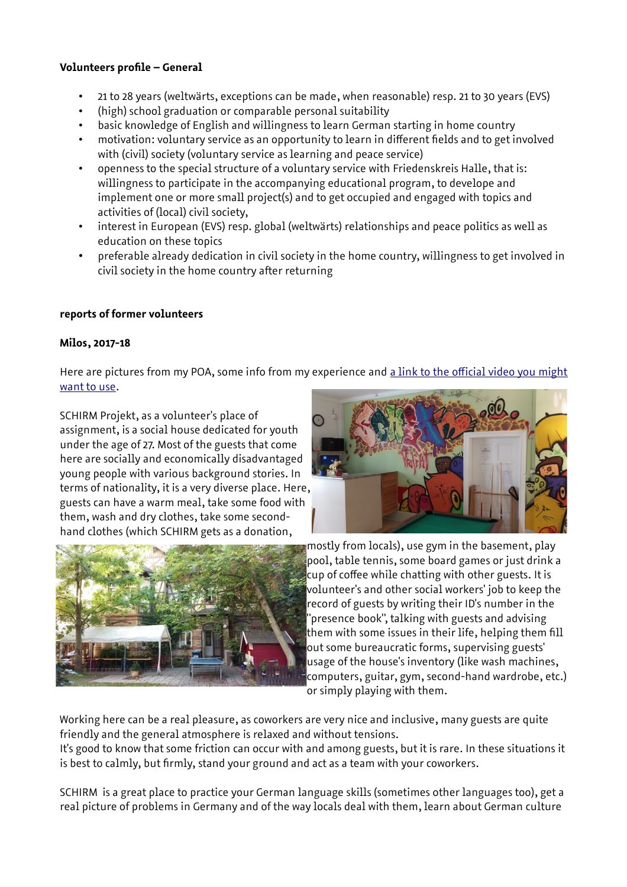# **Volunteers profile – General**

- 21 to 28 years (weltwärts, exceptions can be made, when reasonable) resp. 21 to 30 years (EVS)
- (high) school graduation or comparable personal suitability
- basic knowledge of English and willingness to learn German starting in home country
- motivation: voluntary service as an opportunity to learn in different fields and to get involved with (civil) society (voluntary service as learning and peace service)
- openness to the special structure of a voluntary service with Friedenskreis Halle, that is: willingness to participate in the accompanying educational program, to develope and implement one or more small project(s) and to get occupied and engaged with topics and activities of (local) civil society,
- interest in European (EVS) resp. global (weltwärts) relationships and peace politics as well as education on these topics
- preferable already dedication in civil society in the home country, willingness to get involved in civil society in the home country after returning

# **reports of former volunteers**

### **Milos, 2017-18**

Here are pictures from my POA, some info from my experience and [a link to the official video you might](https://www.youtube.com/watch?v=vj46PWvBJLk) [want to use.](https://www.youtube.com/watch?v=vj46PWvBJLk)

SCHIRM Projekt, as a volunteer's place of assignment, is a social house dedicated for youth under the age of 27. Most of the guests that come here are socially and economically disadvantaged young people with various background stories. In terms of nationality, it is a very diverse place. Here, guests can have a warm meal, take some food with them, wash and dry clothes, take some secondhand clothes (which SCHIRM gets as a donation,





mostly from locals), use gym in the basement, play pool, table tennis, some board games or just drink a cup of coffee while chatting with other guests. It is volunteer's and other social workers' job to keep the record of guests by writing their ID's number in the "presence book", talking with guests and advising  $\,$  them with some issues in their life, helping them fill out some bureaucratic forms, supervising guests' usage of the house's inventory (like wash machines, computers, guitar, gym, second-hand wardrobe, etc.) or simply playing with them.

Working here can be a real pleasure, as coworkers are very nice and inclusive, many guests are quite friendly and the general atmosphere is relaxed and without tensions.

It's good to know that some friction can occur with and among guests, but it is rare. In these situations it is best to calmly, but firmly, stand your ground and act as a team with your coworkers.

SCHIRM is a great place to practice your German language skills (sometimes other languages too), get a real picture of problems in Germany and of the way locals deal with them, learn about German culture